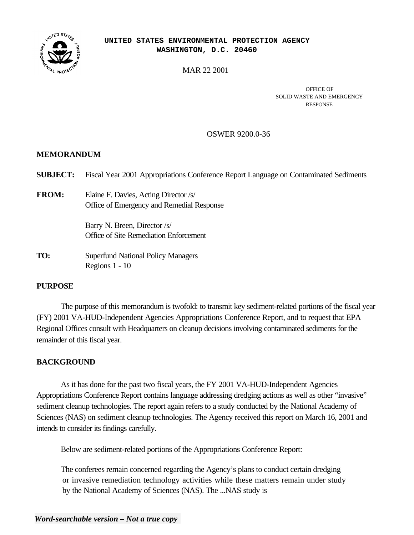

#### **UNITED STATES ENVIRONMENTAL PROTECTION AGENCY WASHINGTON, D.C. 20460**

MAR 22 2001

OFFICE OF SOLID WASTE AND EMERGENCY RESPONSE

#### OSWER 9200.0-36

#### **MEMORANDUM**

| <b>SUBJECT:</b> | Fiscal Year 2001 Appropriations Conference Report Language on Contaminated Sediments |
|-----------------|--------------------------------------------------------------------------------------|
| <b>FROM:</b>    | Elaine F. Davies, Acting Director /s/<br>Office of Emergency and Remedial Response   |
|                 | Barry N. Breen, Director /s/<br>Office of Site Remediation Enforcement               |
| TO:             | <b>Superfund National Policy Managers</b><br>Regions $1 - 10$                        |

# **PURPOSE**

The purpose of this memorandum is twofold: to transmit key sediment-related portions of the fiscal year (FY) 2001 VA-HUD-Independent Agencies Appropriations Conference Report, and to request that EPA Regional Offices consult with Headquarters on cleanup decisions involving contaminated sediments for the remainder of this fiscal year.

# **BACKGROUND**

As it has done for the past two fiscal years, the FY 2001 VA-HUD-Independent Agencies Appropriations Conference Report contains language addressing dredging actions as well as other "invasive" sediment cleanup technologies. The report again refers to a study conducted by the National Academy of Sciences (NAS) on sediment cleanup technologies. The Agency received this report on March 16, 2001 and intends to consider its findings carefully.

Below are sediment-related portions of the Appropriations Conference Report:

The conferees remain concerned regarding the Agency's plans to conduct certain dredging or invasive remediation technology activities while these matters remain under study by the National Academy of Sciences (NAS). The ...NAS study is

# *Word-searchable version – Not a true copy*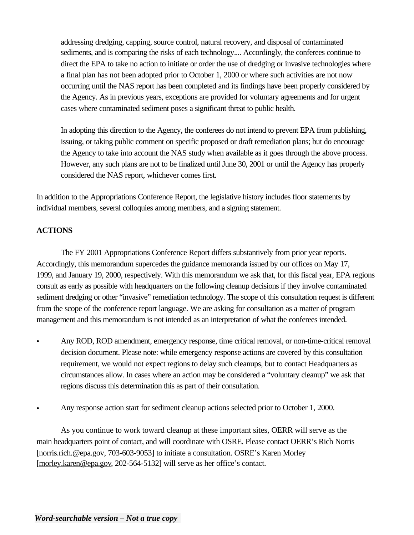addressing dredging, capping, source control, natural recovery, and disposal of contaminated sediments, and is comparing the risks of each technology.... Accordingly, the conferees continue to direct the EPA to take no action to initiate or order the use of dredging or invasive technologies where a final plan has not been adopted prior to October 1, 2000 or where such activities are not now occurring until the NAS report has been completed and its findings have been properly considered by the Agency. As in previous years, exceptions are provided for voluntary agreements and for urgent cases where contaminated sediment poses a significant threat to public health.

In adopting this direction to the Agency, the conferees do not intend to prevent EPA from publishing, issuing, or taking public comment on specific proposed or draft remediation plans; but do encourage the Agency to take into account the NAS study when available as it goes through the above process. However, any such plans are not to be finalized until June 30, 2001 or until the Agency has properly considered the NAS report, whichever comes first.

In addition to the Appropriations Conference Report, the legislative history includes floor statements by individual members, several colloquies among members, and a signing statement.

# **ACTIONS**

The FY 2001 Appropriations Conference Report differs substantively from prior year reports. Accordingly, this memorandum supercedes the guidance memoranda issued by our offices on May 17, 1999, and January 19, 2000, respectively. With this memorandum we ask that, for this fiscal year, EPA regions consult as early as possible with headquarters on the following cleanup decisions if they involve contaminated sediment dredging or other "invasive" remediation technology. The scope of this consultation request is different from the scope of the conference report language. We are asking for consultation as a matter of program management and this memorandum is not intended as an interpretation of what the conferees intended.

- Any ROD, ROD amendment, emergency response, time critical removal, or non-time-critical removal decision document. Please note: while emergency response actions are covered by this consultation requirement, we would not expect regions to delay such cleanups, but to contact Headquarters as circumstances allow. In cases where an action may be considered a "voluntary cleanup" we ask that regions discuss this determination this as part of their consultation.
- Any response action start for sediment cleanup actions selected prior to October 1, 2000.

As you continue to work toward cleanup at these important sites, OERR will serve as the main headquarters point of contact, and will coordinate with OSRE. Please contact OERR's Rich Norris [norris.rich.@epa.gov, 703-603-9053] to initiate a consultation. OSRE's Karen Morley [morley.karen@epa.gov, 202-564-5132] will serve as her office's contact.